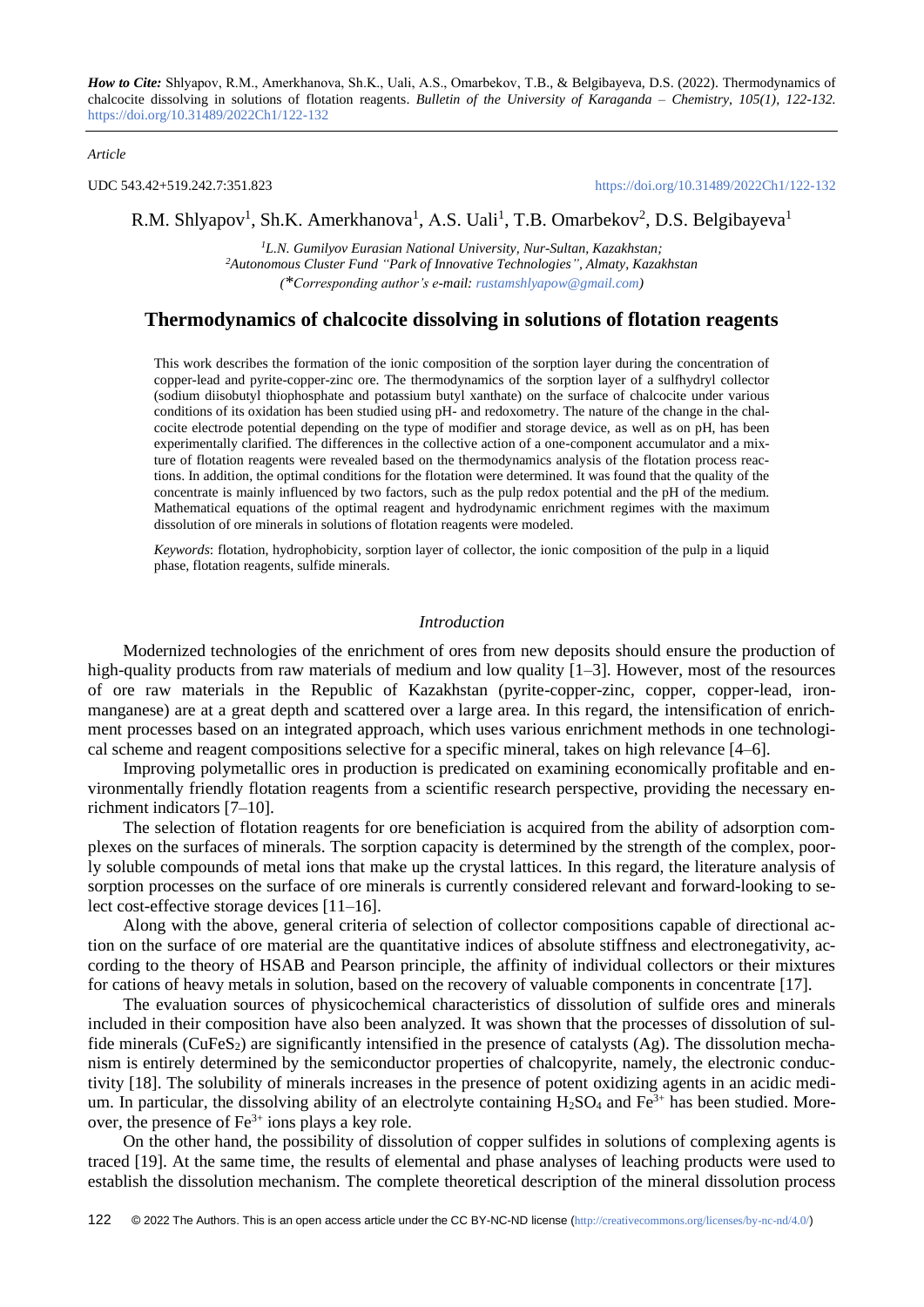#### *Article*

UDC 543.42+519.242.7:351.823 <https://doi.org/10.31489/2022Ch1/122-132>

# R.M. Shlyapov<sup>1</sup>, Sh.K. Amerkhanova<sup>1</sup>, A.S. Uali<sup>1</sup>, T.B. Omarbekov<sup>2</sup>, D.S. Belgibayeva<sup>1</sup>

*<sup>1</sup>L.N. Gumilyov Eurasian National University, Nur-Sultan, Kazakhstan; <sup>2</sup>Autonomous Cluster Fund "Park of Innovative Technologies", Almaty, Kazakhstan (\*Corresponding author's e-mail: [rustamshlyapow@gmail.com\)](mailto:rustamshlyapow@gmail.com)*

# **Thermodynamics of chalcocite dissolving in solutions of flotation reagents**

This work describes the formation of the ionic composition of the sorption layer during the concentration of copper-lead and pyrite-copper-zinc ore. The thermodynamics of the sorption layer of a sulfhydryl collector (sodium diisobutyl thiophosphate and potassium butyl xanthate) on the surface of chalcocite under various conditions of its oxidation has been studied using pH- and redoxometry. The nature of the change in the chalcocite electrode potential depending on the type of modifier and storage device, as well as on pH, has been experimentally clarified. The differences in the collective action of a one-component accumulator and a mixture of flotation reagents were revealed based on the thermodynamics analysis of the flotation process reactions. In addition, the optimal conditions for the flotation were determined. It was found that the quality of the concentrate is mainly influenced by two factors, such as the pulp redox potential and the pH of the medium. Mathematical equations of the optimal reagent and hydrodynamic enrichment regimes with the maximum dissolution of ore minerals in solutions of flotation reagents were modeled.

*Keywords*: flotation, hydrophobicity, sorption layer of collector, the ionic composition of the pulp in a liquid phase, flotation reagents, sulfide minerals.

## *Introduction*

Modernized technologies of the enrichment of ores from new deposits should ensure the production of high-quality products from raw materials of medium and low quality [1–3]. However, most of the resources of ore raw materials in the Republic of Kazakhstan (pyrite-copper-zinc, copper, copper-lead, ironmanganese) are at a great depth and scattered over a large area. In this regard, the intensification of enrichment processes based on an integrated approach, which uses various enrichment methods in one technological scheme and reagent compositions selective for a specific mineral, takes on high relevance [4–6].

Improving polymetallic ores in production is predicated on examining economically profitable and environmentally friendly flotation reagents from a scientific research perspective, providing the necessary enrichment indicators [7–10].

The selection of flotation reagents for ore beneficiation is acquired from the ability of adsorption complexes on the surfaces of minerals. The sorption capacity is determined by the strength of the complex, poorly soluble compounds of metal ions that make up the crystal lattices. In this regard, the literature analysis of sorption processes on the surface of ore minerals is currently considered relevant and forward-looking to select cost-effective storage devices [11–16].

Along with the above, general criteria of selection of collector compositions capable of directional action on the surface of ore material are the quantitative indices of absolute stiffness and electronegativity, according to the theory of HSAB and Pearson principle, the affinity of individual collectors or their mixtures for cations of heavy metals in solution, based on the recovery of valuable components in concentrate [17].

The evaluation sources of physicochemical characteristics of dissolution of sulfide ores and minerals included in their composition have also been analyzed. It was shown that the processes of dissolution of sulfide minerals ( $CuFeS<sub>2</sub>$ ) are significantly intensified in the presence of catalysts (Ag). The dissolution mechanism is entirely determined by the semiconductor properties of chalcopyrite, namely, the electronic conductivity [18]. The solubility of minerals increases in the presence of potent oxidizing agents in an acidic medium. In particular, the dissolving ability of an electrolyte containing  $H_2SO_4$  and  $Fe^{3+}$  has been studied. Moreover, the presence of  $Fe^{3+}$  ions plays a key role.

On the other hand, the possibility of dissolution of copper sulfides in solutions of complexing agents is traced [19]. At the same time, the results of elemental and phase analyses of leaching products were used to establish the dissolution mechanism. The complete theoretical description of the mineral dissolution process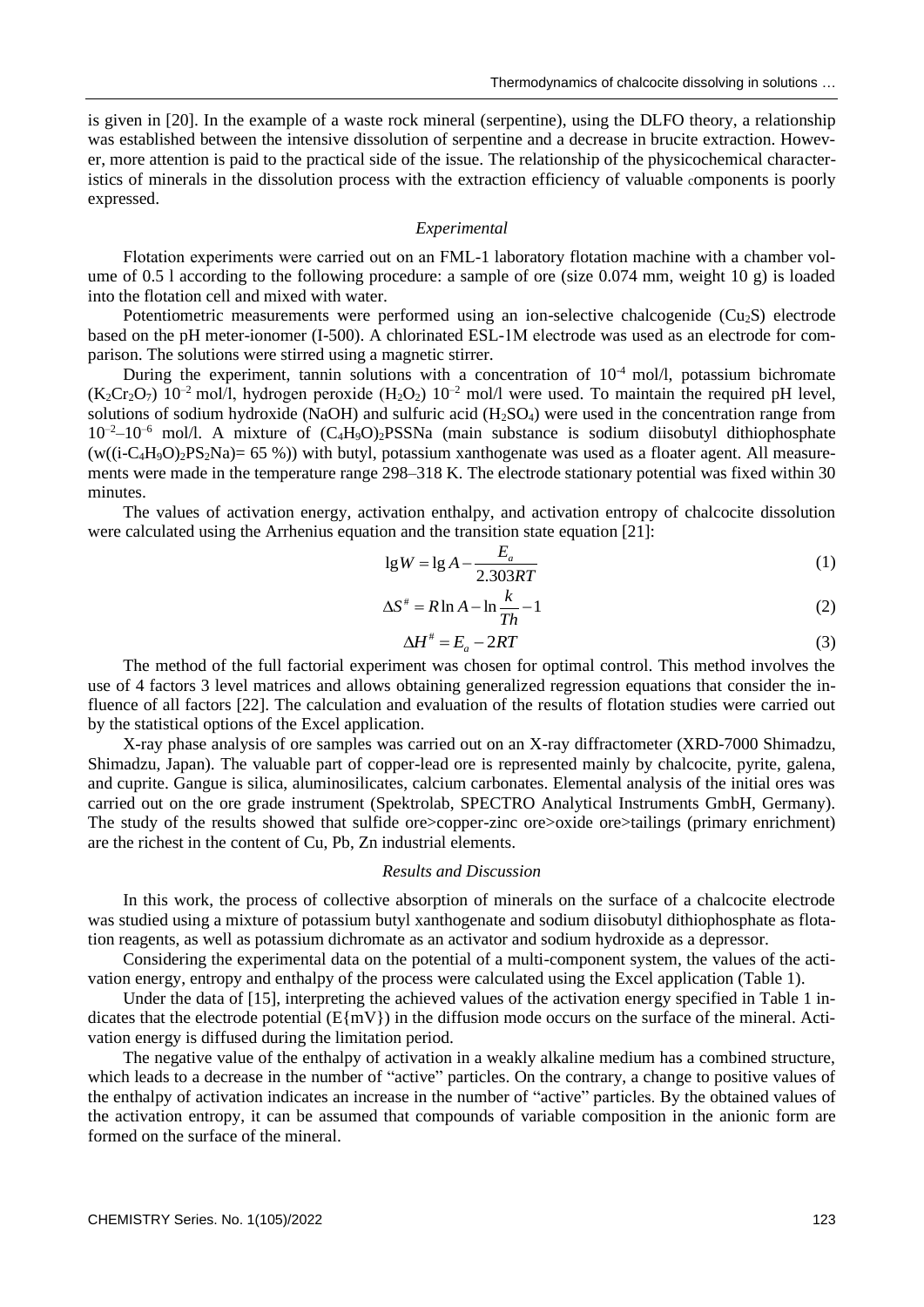is given in [20]. In the example of a waste rock mineral (serpentine), using the DLFO theory, a relationship was established between the intensive dissolution of serpentine and a decrease in brucite extraction. However, more attention is paid to the practical side of the issue. The relationship of the physicochemical characteristics of minerals in the dissolution process with the extraction efficiency of valuable components is poorly expressed.

### *Experimental*

Flotation experiments were carried out on an FМL-1 laboratory flotation machine with a chamber volume of 0.5 l according to the following procedure: a sample of ore (size 0.074 mm, weight 10 g) is loaded into the flotation cell and mixed with water.

Potentiometric measurements were performed using an ion-selective chalcogenide  $(Cu_2S)$  electrode based on the pH meter-ionomer (I-500). A chlorinated ESL-1М electrode was used as an electrode for comparison. The solutions were stirred using a magnetic stirrer.

During the experiment, tannin solutions with a concentration of  $10<sup>-4</sup>$  mol/l, potassium bichromate  $(K_2Cr_2O_7)$  10<sup>-2</sup> mol/l, hydrogen peroxide  $(H_2O_2)$  10<sup>-2</sup> mol/l were used. To maintain the required pH level, solutions of sodium hydroxide (NaOH) and sulfuric acid  $(H<sub>2</sub>SO<sub>4</sub>)$  were used in the concentration range from  $10^{-2}$ – $10^{-6}$  mol/l. A mixture of  $(C_4H_9O)_2$ PSSNa (main substance is sodium diisobutyl dithiophosphate  $(w((i-C_4H_9O)_2PS_2Na) = 65\%)$  with butyl, potassium xanthogenate was used as a floater agent. All measurements were made in the temperature range 298–318 K. The electrode stationary potential was fixed within 30 minutes.

The values of activation energy, activation enthalpy, and activation entropy of chalcocite dissolution were calculated using the Arrhenius equation and the transition state equation [21]:

$$
lg W = lg A - \frac{E_a}{2.303RT}
$$
 (1)

$$
\Delta S^* = R \ln A - \ln \frac{k}{Th} - 1 \tag{2}
$$

$$
\Delta H^* = E_a - 2RT \tag{3}
$$

The method of the full factorial experiment was chosen for optimal control. This method involves the use of 4 factors 3 level matrices and allows obtaining generalized regression equations that consider the influence of all factors [22]. The calculation and evaluation of the results of flotation studies were carried out by the statistical options of the Excel application.

X-ray phase analysis of ore samples was carried out on an X-ray diffractometer (XRD-7000 Shimadzu, Shimadzu, Japan). The valuable part of copper-lead ore is represented mainly by chalcocite, pyrite, galena, and cuprite. Gangue is silica, aluminosilicates, calcium carbonates. Elemental analysis of the initial ores was carried out on the ore grade instrument (Spektrolab, SPECTRO Analytical Instruments GmbH, Germany). The study of the results showed that sulfide ore>copper-zinc ore>oxide ore>tailings (primary enrichment) are the richest in the content of Cu, Pb, Zn industrial elements.

### *Results and Discussion*

In this work, the process of collective absorption of minerals on the surface of a chalcocite electrode was studied using a mixture of potassium butyl xanthogenate and sodium diisobutyl dithiophosphate as flotation reagents, as well as potassium dichromate as an activator and sodium hydroxide as a depressor.

Considering the experimental data on the potential of a multi-component system, the values of the activation energy, entropy and enthalpy of the process were calculated using the Excel application (Table 1).

Under the data of [15], interpreting the achieved values of the activation energy specified in Table 1 indicates that the electrode potential ( $E\{mV\}$ ) in the diffusion mode occurs on the surface of the mineral. Activation energy is diffused during the limitation period.

The negative value of the enthalpy of activation in a weakly alkaline medium has a combined structure, which leads to a decrease in the number of "active" particles. On the contrary, a change to positive values of the enthalpy of activation indicates an increase in the number of "active" particles. By the obtained values of the activation entropy, it can be assumed that compounds of variable composition in the anionic form are formed on the surface of the mineral.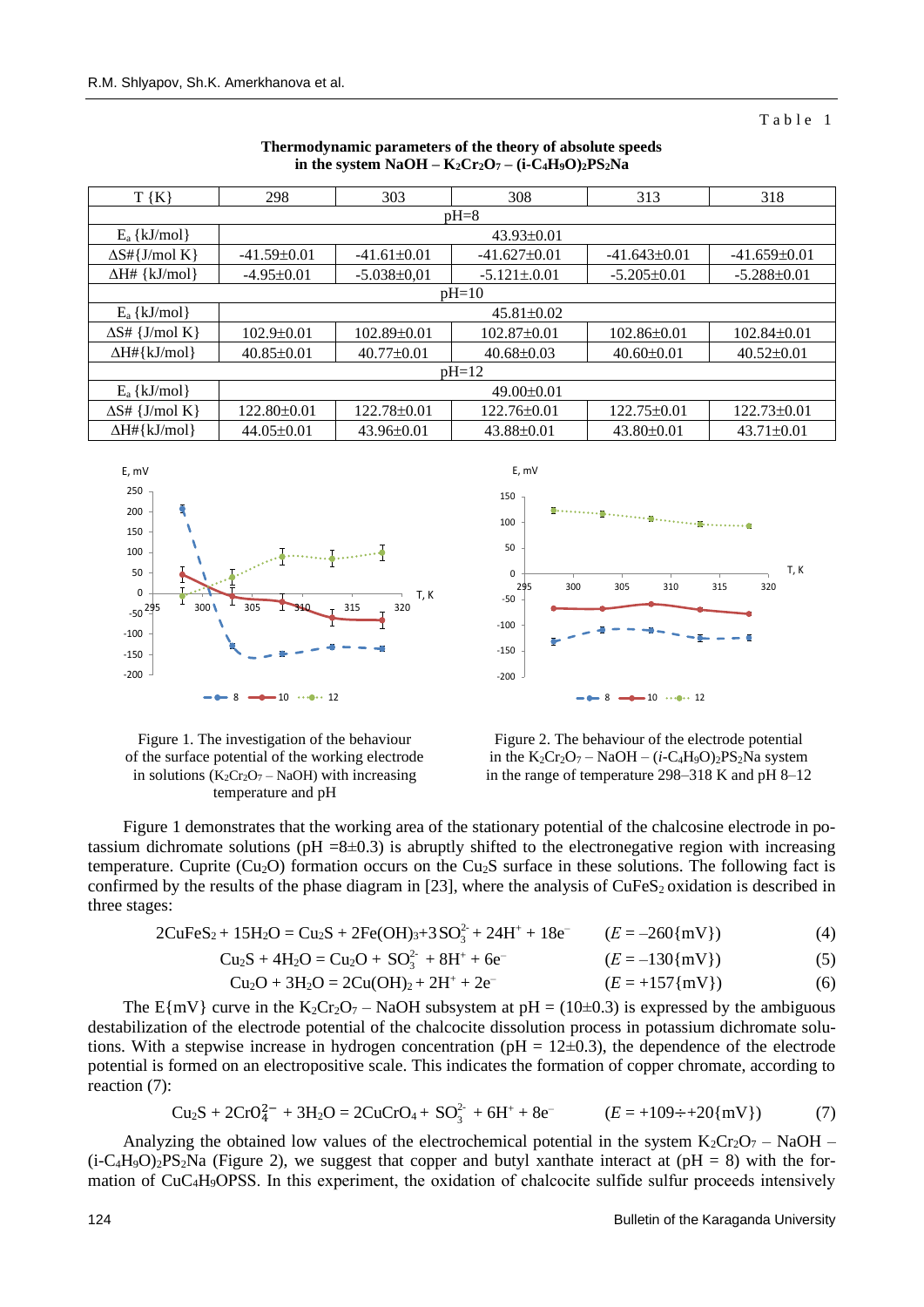#### Table 1

| $T\{K\}$                    | 298               | 303               | 308<br>313                           |                   | 318               |  |  |
|-----------------------------|-------------------|-------------------|--------------------------------------|-------------------|-------------------|--|--|
| $pH=8$                      |                   |                   |                                      |                   |                   |  |  |
| $E_a$ {kJ/mol}              | $43.93 \pm 0.01$  |                   |                                      |                   |                   |  |  |
| $\Delta S \# \{ J/mol K \}$ | $-41.59 \pm 0.01$ | $-41.61\pm0.01$   | $-41.627\pm0.01$                     | $-41.643\pm0.01$  | $-41.659\pm0.01$  |  |  |
| $\Delta H#$ {kJ/mol}        | $-4.95\pm0.01$    | $-5.038 \pm 0.01$ | $-5.121 \pm 0.01$                    | $-5.205\pm0.01$   | $-5.288 \pm 0.01$ |  |  |
| $pH=10$                     |                   |                   |                                      |                   |                   |  |  |
| $E_a \{ kJ/mol \}$          | $45.81 \pm 0.02$  |                   |                                      |                   |                   |  |  |
| $\Delta S \# \{J/mol K\}$   | $102.9 \pm 0.01$  | $102.89 \pm 0.01$ | $102.87 \pm 0.01$                    | $102.86 \pm 0.01$ | $102.84\pm0.01$   |  |  |
| $\Delta H \# \{kJ/mol\}$    | $40.85 \pm 0.01$  | $40.77 \pm 0.01$  | $40.68 \pm 0.03$<br>$40.60 \pm 0.01$ |                   | $40.52 \pm 0.01$  |  |  |
| $pH=12$                     |                   |                   |                                      |                   |                   |  |  |
| $E_a$ {kJ/mol}              | $49.00 \pm 0.01$  |                   |                                      |                   |                   |  |  |
| $\Delta S \# \{J/mol K\}$   | $122.80 \pm 0.01$ | 122.78±0.01       | $122.75\pm0.01$<br>$122.76 \pm 0.01$ |                   | $122.73 \pm 0.01$ |  |  |
| $\Delta H \# \{kJ/mol\}$    | $44.05 \pm 0.01$  | $43.96 \pm 0.01$  | $43.88 \pm 0.01$                     | $43.80 \pm 0.01$  | $43.71 \pm 0.01$  |  |  |

### **Thermodynamic parameters of the theory of absolute speeds in the system**  $NaOH - K_2Cr_2O_7 - (i-C_4H_9O)_2PS_2Na$





Figure 1. The investigation of the behaviour of the surface potential of the working electrode in solutions  $(K_2Cr_2O_7 - NaOH)$  with increasing temperature and pH



Figure 1 demonstrates that the working area of the stationary potential of the chalcosine electrode in potassium dichromate solutions ( $pH = 8\pm0.3$ ) is abruptly shifted to the electronegative region with increasing temperature. Cuprite (Cu<sub>2</sub>O) formation occurs on the Cu<sub>2</sub>S surface in these solutions. The following fact is confirmed by the results of the phase diagram in [23], where the analysis of  $CuFeS<sub>2</sub>$  oxidation is described in three stages:

$$
2CuFeS_2 + 15H_2O = Cu_2S + 2Fe(OH)3+3SO32 + 24H+ + 18e- \t(E = -260{mV})
$$
 (4)

Cu2S + 4H2O = Cu2O + 2- SO<sup>3</sup> + 8H<sup>+</sup> + 6e– (*Е* = –130{mV}) (5)

$$
Cu2O + 3H2O = 2Cu(OH)2 + 2H+ + 2e- \t\t (E = +157{mV})
$$
 (6)

The E{mV} curve in the K<sub>2</sub>Cr<sub>2</sub>O<sub>7</sub> – NaOH subsystem at pH = (10±0.3) is expressed by the ambiguous destabilization of the electrode potential of the chalcocite dissolution process in potassium dichromate solutions. With a stepwise increase in hydrogen concentration ( $pH = 12\pm0.3$ ), the dependence of the electrode potential is formed on an electropositive scale. This indicates the formation of copper chromate, according to reaction (7):

$$
Cu2S + 2CrO42 + 3H2O = 2CuCrO4 + SO32 + 6H+ + 8e- \t\t (E = +109 \div +20{mV}) \t\t (7)
$$

Analyzing the obtained low values of the electrochemical potential in the system  $K_2Cr_2O_7 - NaOH$  $(i-C_4H_9O)_2PS_2Na$  (Figure 2), we suggest that copper and butyl xanthate interact at (pH = 8) with the formation of CuC<sub>4</sub>H<sub>9</sub>OPSS. In this experiment, the oxidation of chalcocite sulfide sulfur proceeds intensively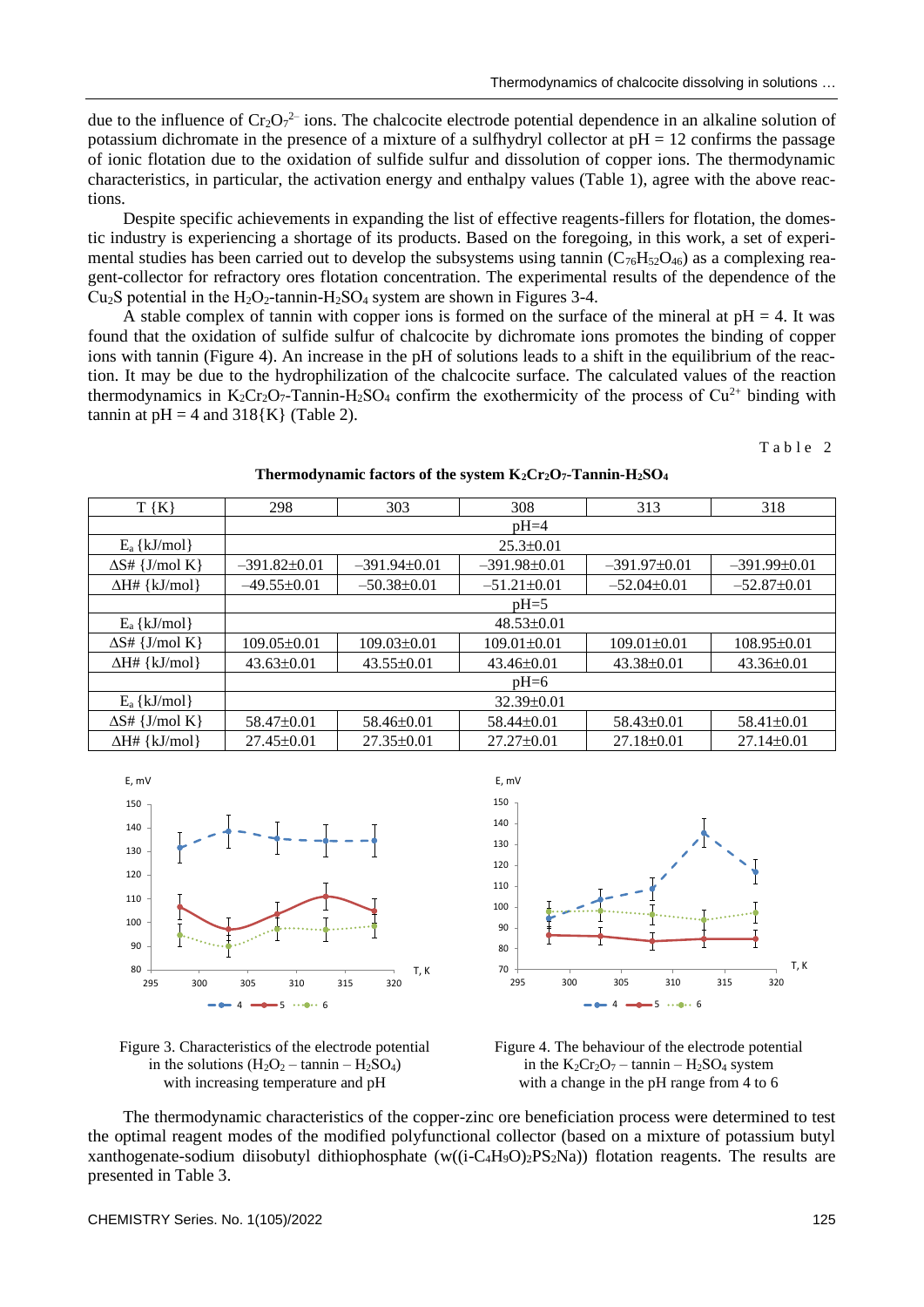due to the influence of  $Cr_2O_7^2$  ions. The chalcocite electrode potential dependence in an alkaline solution of potassium dichromate in the presence of a mixture of a sulfhydryl collector at  $pH = 12$  confirms the passage of ionic flotation due to the oxidation of sulfide sulfur and dissolution of copper ions. The thermodynamic characteristics, in particular, the activation energy and enthalpy values (Table 1), agree with the above reactions.

Despite specific achievements in expanding the list of effective reagents-fillers for flotation, the domestic industry is experiencing a shortage of its products. Based on the foregoing, in this work, a set of experimental studies has been carried out to develop the subsystems using tannin  $(C_{76}H_{52}O_{46})$  as a complexing reagent-collector for refractory ores flotation concentration. The experimental results of the dependence of the Cu<sub>2</sub>S potential in the  $H_2O_2$ -tannin- $H_2SO_4$  system are shown in Figures 3-4.

A stable complex of tannin with copper ions is formed on the surface of the mineral at  $pH = 4$ . It was found that the oxidation of sulfide sulfur of chalcocite by dichromate ions promotes the binding of copper ions with tannin (Figure 4). An increase in the pH of solutions leads to a shift in the equilibrium of the reaction. It may be due to the hydrophilization of the chalcocite surface. The calculated values of the reaction thermodynamics in  $K_2Cr_2O_7$ -Tannin-H<sub>2</sub>SO<sub>4</sub> confirm the exothermicity of the process of Cu<sup>2+</sup> binding with tannin at  $pH = 4$  and  $318{K}$  (Table 2).

Table 2

 $T {K}$  298  $303$  308  $313$  318  $pH=4$  $E_a \{ kJ/mol \}$  25.3±0.01  $\Delta S#$  {J/mol K} = 391.82±0.01 = 391.94±0.01 = 391.98±0.01 = 391.97±0.01 = 391.99±0.01  $\Delta H\# \{ kJ/mol \}$  –49.55±0.01 –50.38±0.01 –51.21±0.01 –52.04±0.01 –52.87±0.01  $pH=5$  $E_a$  {kJ/mol}  $48.53\pm0.01$  $\Delta S$ # {J/mol K} | 109.05 $\pm$ 0.01 | 109.03 $\pm$ 0.01 | 109.01 $\pm$ 0.01 | 109.01 $\pm$ 0.01 | 108.95 $\pm$ 0.01  $\Delta H\# \{ kJ/mol \}$  43.63±0.01 43.55±0.01 43.46±0.01 43.38±0.01 43.38±0.01  $pH=6$  $E_a$ {kJ/mol}  $32.39\pm0.01$  $\Delta S \# \{J/mol K\}$  58.47±0.01 58.46±0.01 58.44±0.01 58.43±0.01 58.41±0.01 ∆H# {kJ/mol} 27.45±0.01 27.35±0.01 27.27±0.01 27.18±0.01 27.14±0.01











The thermodynamic characteristics of the copper-zinc ore beneficiation process were determined to test the optimal reagent modes of the modified polyfunctional collector (based on a mixture of potassium butyl xanthogenate-sodium diisobutyl dithiophosphate (w( $(i-C_4H_9O)_2PS_2Na$ )) flotation reagents. The results are presented in Table 3.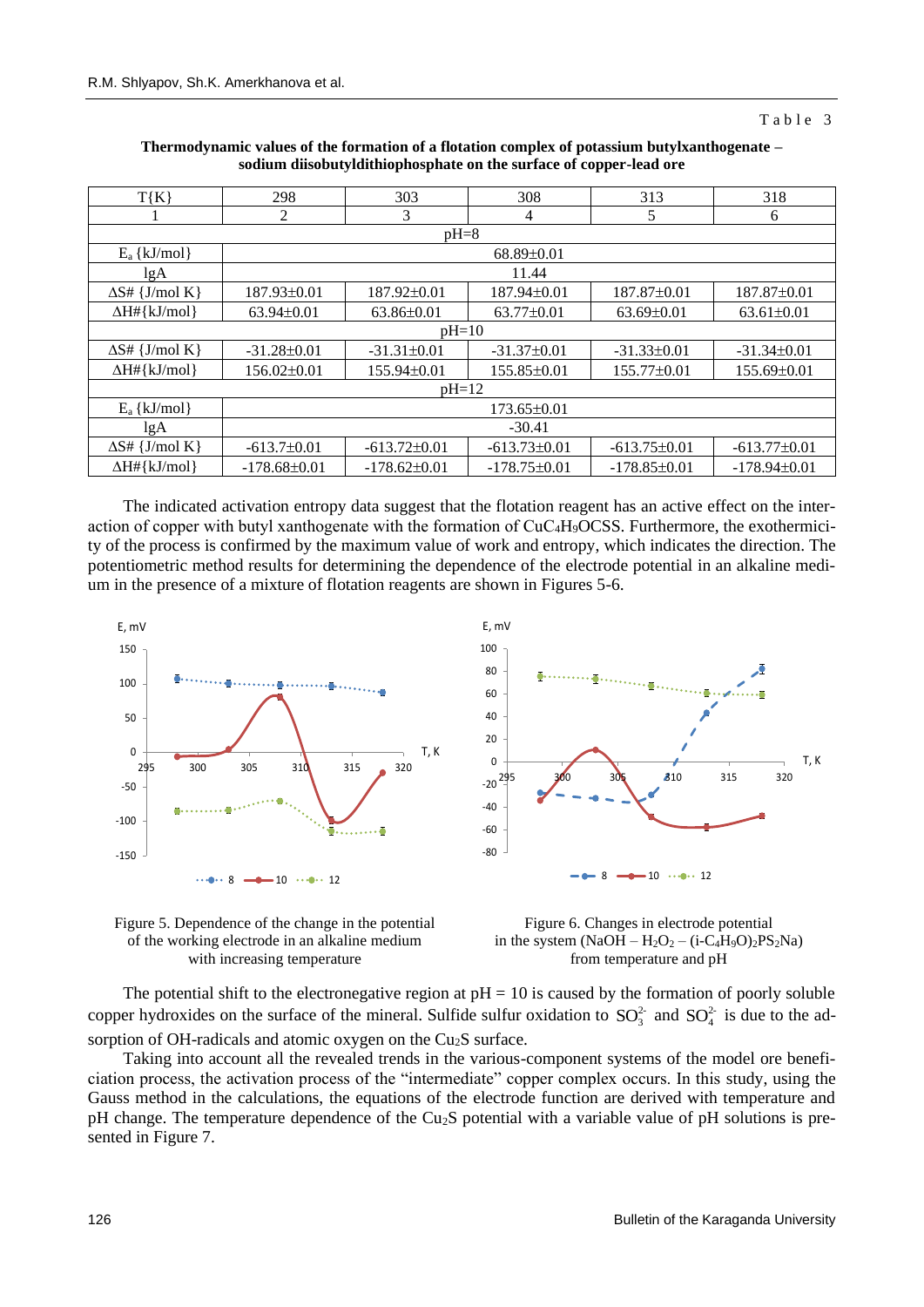#### Table 3

| $T\{K\}$                  | 298               | 303               | 308<br>313                           |                   | 318              |  |  |
|---------------------------|-------------------|-------------------|--------------------------------------|-------------------|------------------|--|--|
|                           | 2                 | 3                 | 4                                    | 5                 | 6                |  |  |
| $pH=8$                    |                   |                   |                                      |                   |                  |  |  |
| $E_a$ {kJ/mol}            | $68.89 \pm 0.01$  |                   |                                      |                   |                  |  |  |
| lgA                       | 11.44             |                   |                                      |                   |                  |  |  |
| $\Delta S \# \{J/mol K\}$ | 187.93±0.01       | 187.92±0.01       | 187.94±0.01                          | 187.87±0.01       | 187.87±0.01      |  |  |
| $\Delta H# \{kJ/mol\}$    | $63.94 \pm 0.01$  | $63.86 \pm 0.01$  | $63.77 \pm 0.01$<br>$63.69 \pm 0.01$ |                   | $63.61 \pm 0.01$ |  |  |
| $pH=10$                   |                   |                   |                                      |                   |                  |  |  |
| $\Delta S \# \{J/mol K\}$ | $-31.28 \pm 0.01$ | $-31.31 \pm 0.01$ | $-31.37\pm0.01$                      | $-31.33 \pm 0.01$ | $-31.34\pm0.01$  |  |  |
| $\Delta H# \{kJ/mol\}$    | $156.02 \pm 0.01$ | 155.94±0.01       | 155.85±0.01<br>$155.77 \pm 0.01$     |                   | 155.69±0.01      |  |  |
| $pH=12$                   |                   |                   |                                      |                   |                  |  |  |
| $E_a$ {kJ/mol}            | $173.65 \pm 0.01$ |                   |                                      |                   |                  |  |  |
| lgA                       | $-30.41$          |                   |                                      |                   |                  |  |  |
| $\Delta S \# \{J/mol K\}$ | $-613.7 \pm 0.01$ | $-613.72\pm0.01$  | $-613.73\pm0.01$<br>$-613.75\pm0.01$ |                   | $-613.77\pm0.01$ |  |  |
| $\Delta H# \{kJ/mol\}$    | $-178.68\pm0.01$  | $-178.62\pm0.01$  | $-178.75\pm0.01$                     | $-178.85\pm0.01$  | $-178.94\pm0.01$ |  |  |

**Thermodynamic values of the formation of a flotation complex of potassium butylxanthogenate – sodium diisobutyldithiophosphate on the surface of copper-lead ore**

The indicated activation entropy data suggest that the flotation reagent has an active effect on the interaction of copper with butyl xanthogenate with the formation of  $CuC<sub>4</sub>H<sub>9</sub>OCSS$ . Furthermore, the exothermicity of the process is confirmed by the maximum value of work and entropy, which indicates the direction. The potentiometric method results for determining the dependence of the electrode potential in an alkaline medium in the presence of a mixture of flotation reagents are shown in Figures 5-6.







The potential shift to the electronegative region at  $pH = 10$  is caused by the formation of poorly soluble copper hydroxides on the surface of the mineral. Sulfide sulfur oxidation to  $SO_3^2$  and  $SO_4^2$  is due to the adsorption of OH-radicals and atomic oxygen on the Cu<sub>2</sub>S surface.

Taking into account all the revealed trends in the various-component systems of the model ore beneficiation process, the activation process of the "intermediate" copper complex occurs. In this study, using the Gauss method in the calculations, the equations of the electrode function are derived with temperature and pH change. The temperature dependence of the Cu2S potential with a variable value of pH solutions is presented in Figure 7.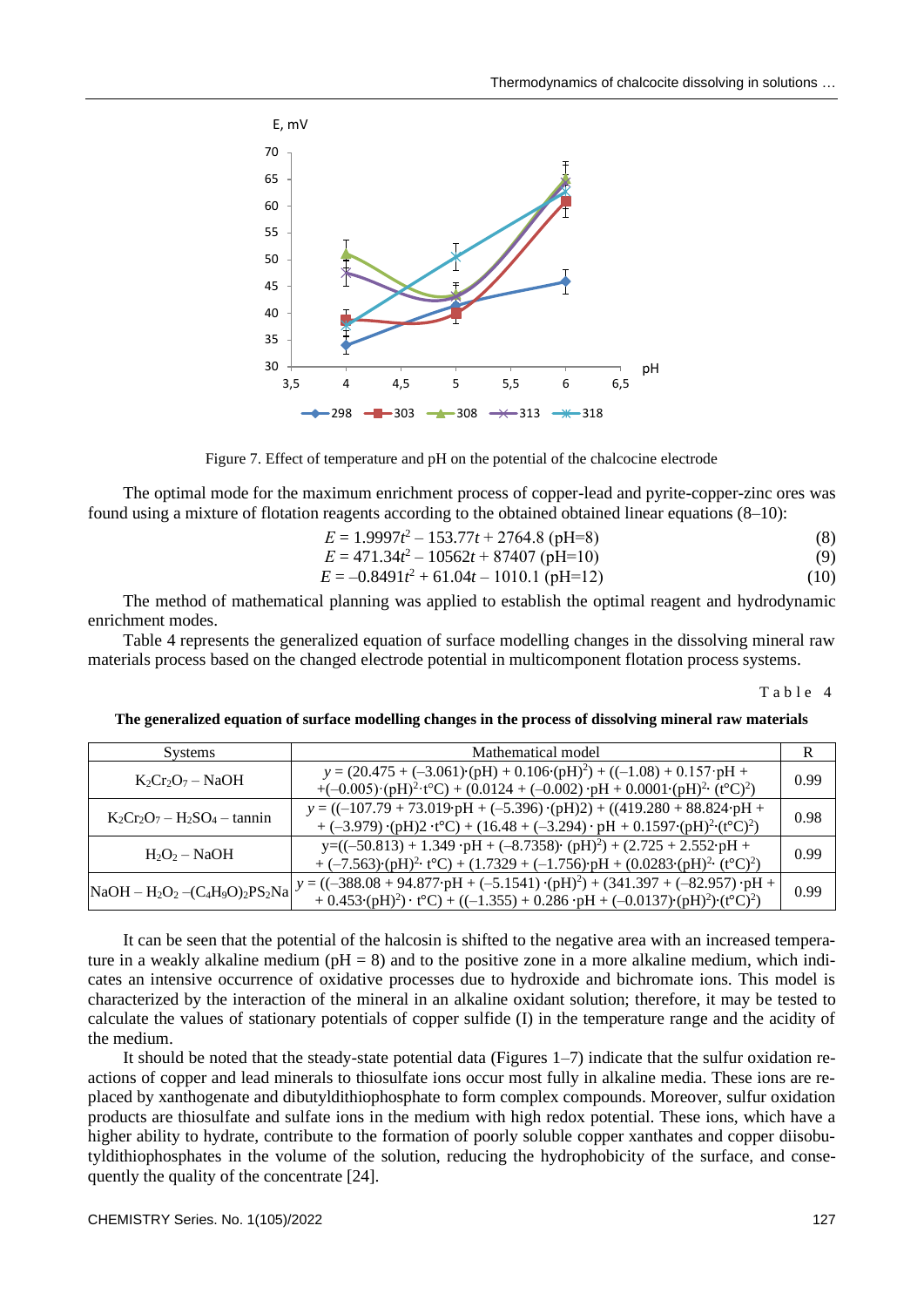



The optimal mode for the maximum enrichment process of copper-lead and pyrite-copper-zinc ores was found using a mixture of flotation reagents according to the obtained obtained linear equations (8–10):

$$
E = 1.9997t^2 - 153.77t + 2764.8 \text{ (pH=8)}
$$
\n(8)

$$
E = 471.34t2 - 10562t + 87407
$$
 (pH=10) (9)

$$
E = -0.8491t^2 + 61.04t - 1010.1 \text{ (pH=12)}\tag{10}
$$

The method of mathematical planning was applied to establish the optimal reagent and hydrodynamic enrichment modes.

Table 4 represents the generalized equation of surface modelling changes in the dissolving mineral raw materials process based on the changed electrode potential in multicomponent flotation process systems.

Table 4

**The generalized equation of surface modelling changes in the process of dissolving mineral raw materials**

| <b>Systems</b>                   | Mathematical model                                                                                                                                                                                                                                                                                                                                                          |      |
|----------------------------------|-----------------------------------------------------------------------------------------------------------------------------------------------------------------------------------------------------------------------------------------------------------------------------------------------------------------------------------------------------------------------------|------|
| $K_2Cr_2O_7-NaOH$                | $y = (20.475 + (-3.061) \cdot (pH) + 0.106 \cdot (pH)^{2}) + ((-1.08) + 0.157 \cdot pH +$<br>+ $(-0.005)$ $\cdot$ $(pH)^2$ $\cdot$ $t^{\circ}C$ $+$ $(0.0124 + (-0.002)$ $\cdot$ $pH + 0.0001$ $\cdot$ $(pH)^2$ $\cdot$ $(t^{\circ}C)^2$                                                                                                                                    | 0.99 |
| $K_2Cr_2O_7 - H_2SO_4 - \tannin$ | $y = ((-107.79 + 73.019 \cdot pH + (-5.396) \cdot (pH))2) + ((419.280 + 88.824 \cdot pH +$<br>+ $(-3.979)$ ·(pH)2 ·t <sup>o</sup> C) + (16.48 + $(-3.294)$ · pH + 0.1597·(pH) <sup>2</sup> ·(t <sup>o</sup> C) <sup>2</sup> )                                                                                                                                               | 0.98 |
| $H_2O_2-NaOH$                    | $y = ((-50.813) + 1.349 \cdot pH + (-8.7358) \cdot (pH)^{2}) + (2.725 + 2.552 \cdot pH +$<br>+ $(-7.563)$ $\cdot$ $(pH)^2$ $\cdot$ $t^oC$ + $(1.7329 + (-1.756)$ $pH + (0.0283 \cdot (pH)^2 \cdot (t^oC)^2)$                                                                                                                                                                | 0.99 |
|                                  | $\begin{array}{ l l }\n\hline\n\text{NaOH} - \text{H}_2\text{O}_2 - (\text{C}_4\text{H}_9\text{O})_2\text{PS}_2\text{Na} \end{array} y = ((-388.08 + 94.877 \cdot pH + (-5.1541) \cdot (pH)^2) + (341.397 + (-82.957) \cdot pH + (12.911) \cdot (pH)^2)$<br>+ $0.453 \cdot (pH)^2$ · t°C) + ((-1.355) + 0.286 · pH + (-0.0137) · (pH) <sup>2</sup> ) · (t°C) <sup>2</sup> ) | 0.99 |

It can be seen that the potential of the halcosin is shifted to the negative area with an increased temperature in a weakly alkaline medium ( $pH = 8$ ) and to the positive zone in a more alkaline medium, which indicates an intensive occurrence of oxidative processes due to hydroxide and bichromate ions. This model is characterized by the interaction of the mineral in an alkaline oxidant solution; therefore, it may be tested to calculate the values of stationary potentials of copper sulfide (I) in the temperature range and the acidity of the medium.

It should be noted that the steady-state potential data (Figures 1–7) indicate that the sulfur oxidation reactions of copper and lead minerals to thiosulfate ions occur most fully in alkaline media. These ions are replaced by xanthogenate and dibutyldithiophosphate to form complex compounds. Moreover, sulfur oxidation products are thiosulfate and sulfate ions in the medium with high redox potential. These ions, which have a higher ability to hydrate, contribute to the formation of poorly soluble copper xanthates and copper diisobutyldithiophosphates in the volume of the solution, reducing the hydrophobicity of the surface, and consequently the quality of the concentrate [24].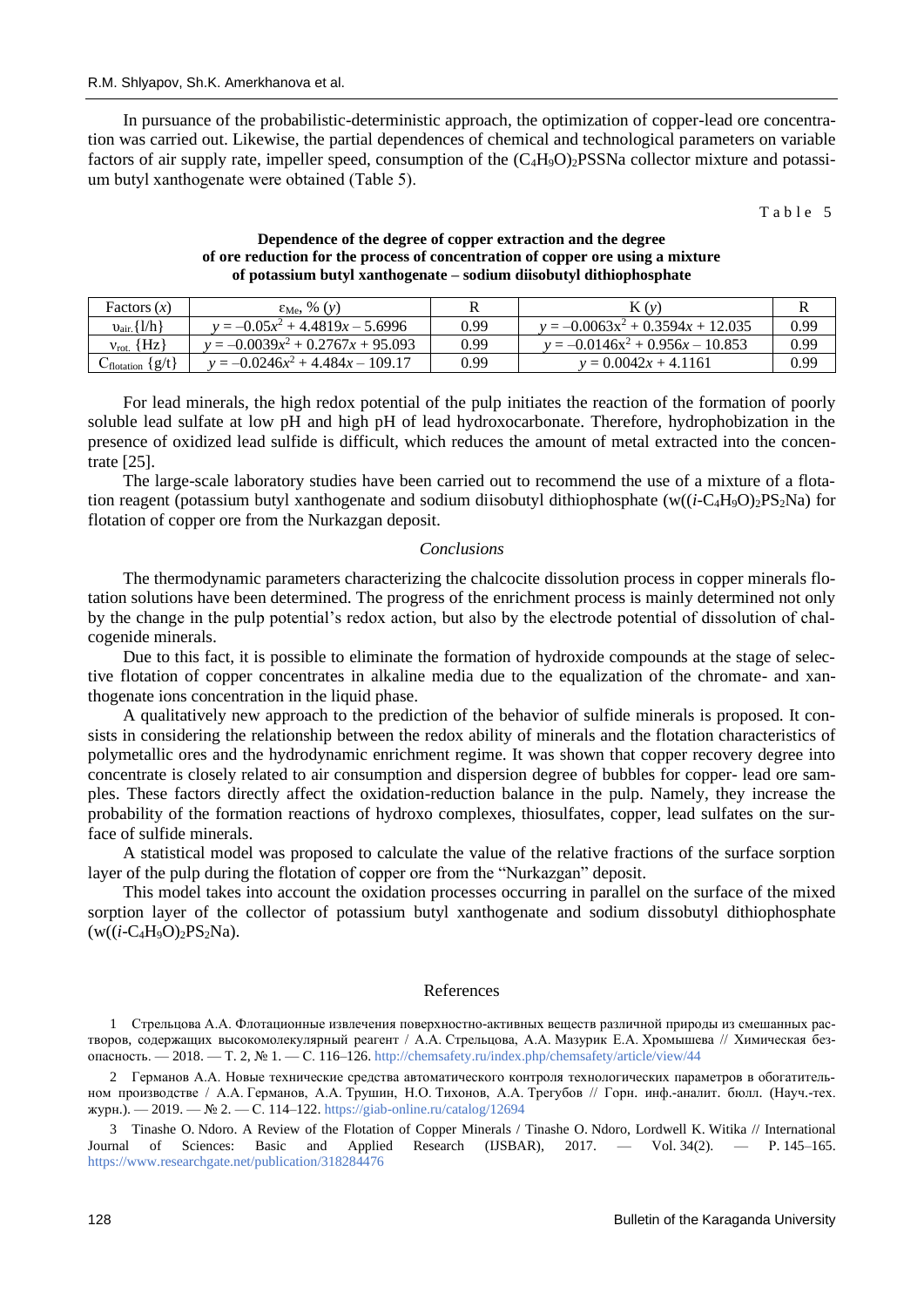In pursuance of the probabilistic-deterministic approach, the optimization of copper-lead ore concentration was carried out. Likewise, the partial dependences of chemical and technological parameters on variable factors of air supply rate, impeller speed, consumption of the  $(C_4H_9O)_2$ PSSNa collector mixture and potassium butyl xanthogenate were obtained (Таble 5).

 $Table 5$ 

## **Dependence of the degree of copper extraction and the degree of ore reduction for the process of concentration of copper ore using a mixture of potassium butyl xanthogenate – sodium diisobutyl dithiophosphate**

| Factors $(x)$                  | $\varepsilon_{Me}$ , % $(y)$        |      | K(v)                                |      |
|--------------------------------|-------------------------------------|------|-------------------------------------|------|
| $v_{\text{air}}\{1/h\}$        | $y = -0.05x^2 + 4.4819x - 5.6996$   | 0.99 | $y = -0.0063x^2 + 0.3594x + 12.035$ | 0.99 |
| $v_{\rm rot}$ {Hz}             | $y = -0.0039x^2 + 0.2767x + 95.093$ | 0.99 | $y = -0.0146x^2 + 0.956x - 10.853$  | 0.99 |
| $C_{\text{flotation}} \{g/t\}$ | $y = -0.0246x^2 + 4.484x - 109.17$  | 0.99 | $v = 0.0042x + 4.1161$              | 0.99 |

For lead minerals, the high redox potential of the pulp initiates the reaction of the formation of poorly soluble lead sulfate at low pH and high pH of lead hydroxocarbonate. Therefore, hydrophobization in the presence of oxidized lead sulfide is difficult, which reduces the amount of metal extracted into the concentrate [25].

The large-scale laboratory studies have been carried out to recommend the use of a mixture of a flotation reagent (potassium butyl xanthogenate and sodium diisobutyl dithiophosphate (w(( $(i$ -C<sub>4</sub>H<sub>9</sub>O)<sub>2</sub>PS<sub>2</sub>Na) for flotation of copper ore from the Nurkazgan deposit.

### *Conclusions*

The thermodynamic parameters characterizing the chalcocite dissolution process in copper minerals flotation solutions have been determined. The progress of the enrichment process is mainly determined not only by the change in the pulp potential's redox action, but also by the electrode potential of dissolution of chalcogenide minerals.

Due to this fact, it is possible to eliminate the formation of hydroxide compounds at the stage of selective flotation of copper concentrates in alkaline media due to the equalization of the chromate- and xanthogenate ions concentration in the liquid phase.

A qualitatively new approach to the prediction of the behavior of sulfide minerals is proposed. It consists in considering the relationship between the redox ability of minerals and the flotation characteristics of polymetallic ores and the hydrodynamic enrichment regime. It was shown that copper recovery degree into concentrate is closely related to air consumption and dispersion degree of bubbles for copper- lead ore samples. These factors directly affect the oxidation-reduction balance in the pulp. Namely, they increase the probability of the formation reactions of hydroxo complexes, thiosulfates, copper, lead sulfates on the surface of sulfide minerals.

A statistical model was proposed to calculate the value of the relative fractions of the surface sorption layer of the pulp during the flotation of copper ore from the "Nurkazgan" deposit.

This model takes into account the oxidation processes occurring in parallel on the surface of the mixed sorption layer of the collector of potassium butyl xanthogenate and sodium dissobutyl dithiophosphate  $(w((i-C<sub>4</sub>H<sub>9</sub>O)<sub>2</sub>PS<sub>2</sub>Na).$ 

### References

1 Cтрельцова А.А. Флотационные извлечения поверхностно-активных веществ различной природы из смешанных растворов, содержащих высокомолекулярный реагент / А.А. Cтрельцова, А.А. Мазурик Е.А. Хромышева // Химическая безопасность. — 2018. — Т. 2, № 1. — С. 116–126[. http://chemsafety.ru/index.php/chemsafety/article/view/44](http://chemsafety.ru/index.php/chemsafety/article/view/44)

2 Германов А.А. Новые технические средства автоматического контроля технологических параметров в обогатительном производстве / А.А. Германов, А.А. Трушин, Н.О. Тихонов, А.А. Трегубов // Горн. инф.-аналит. бюлл. (Науч.-тех. журн.). — 2019. — № 2. — С. 114–122.<https://giab-online.ru/catalog/12694>

3 Tinashe O. Ndoro. A Review of the Flotation of Copper Minerals / Tinashe O. Ndoro, Lordwell K. Witika // International Journal of Sciences: Basic and Applied Research (IJSBAR), 2017. — Vol. 34(2). — P. 145-165. <https://www.researchgate.net/publication/318284476>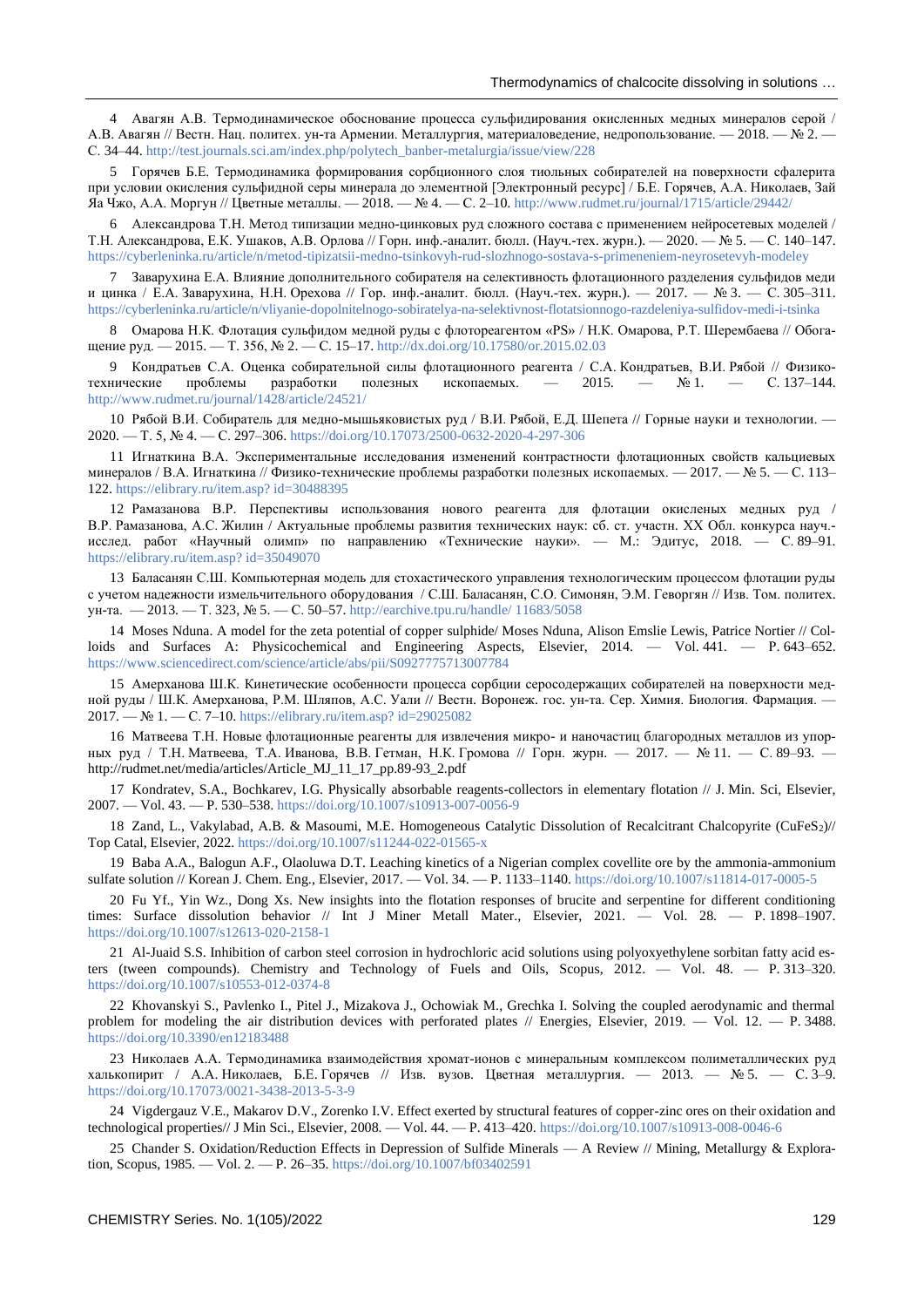4 Авагян А.В. Термодинамическое обоснование процесса сульфидирования окисленных медных минералов серой / А.В. Авагян // Вестн. Нац. политех. ун-та Армении. Металлургия, материаловедение, недропользование. — 2018. — № 2. — С. 34–44. [http://test.journals.sci.am/index.php/polytech\\_banber-metalurgia/issue/view/228](http://test.journals.sci.am/index.php/polytech_banber-metalurgia/issue/view/228)

5 Горячев Б.Е. Термодинамика формирования сорбционного слоя тиольных собирателей на поверхности сфалерита при условии окисления сульфидной серы минерала до элементной [Электронный ресурс] / Б.Е. Горячев, А.А. Николаев, Зай Яа Чжо, А.А. Моргун // Цветные металлы. — 2018. — № 4. — С. 2–10[. http://www.rudmet.ru/journal/1715/article/29442/](http://www.rudmet.ru/journal/1715/article/29442/)

6 Александрова Т.Н. Метод типизации медно-цинковых руд сложного состава с применением нейросетевых моделей / Т.Н. Александрова, Е.К. Ушаков, А.В. Орлова // Горн. инф.-аналит. бюлл. (Науч.-тех. журн.). — 2020. — № 5. — С. 140–147. <https://cyberleninka.ru/article/n/metod-tipizatsii-medno-tsinkovyh-rud-slozhnogo-sostava-s-primeneniem-neyrosetevyh-modeley>

7 Заварухина Е.А. Влияние дополнительного собирателя на селективность флотационного разделения сульфидов меди и цинка / Е.А. Заварухина, Н.Н. Орехова // Гор. инф.-аналит. бюлл. (Науч.-тех. журн.). — 2017. — № 3. — С. 305–311. <https://cyberleninka.ru/article/n/vliyanie-dopolnitelnogo-sobiratelya-na-selektivnost-flotatsionnogo-razdeleniya-sulfidov-medi-i-tsinka>

8 Омарова Н.К. Флотация сульфидом медной руды с флотореагентом «РS» / Н.К. Омарова, Р.Т. Шерембаева // Обогащение руд. — 2015. — Т. 356, № 2. — С. 15–17.<http://dx.doi.org/10.17580/or.2015.02.03>

9 Кондратьев С.А. Оценка собирательной силы флотационного реагента / С.А. Кондратьев, В.И. Рябой // Физикотехнические проблемы разработки полезных ископаемых. — 2015. — № 1. — С. 137–144. <http://www.rudmet.ru/journal/1428/article/24521/>

10 Рябой В.И. Собиратель для медно-мышьяковистых руд / В.И. Рябой, Е.Д. Шепета // Горные науки и технологии. — 2020. — Т. 5, № 4. — С. 297–306.<https://doi.org/10.17073/2500-0632-2020-4-297-306>

11 Игнаткина В.А. Экспериментальные исследования изменений контрастности флотационных свойств кальциевых минералов / В.А. Игнаткина // Физико-технические проблемы разработки полезных ископаемых. — 2017. — № 5. — С. 113– 122[. https://elibrary.ru/item.asp? id=30488395](https://elibrary.ru/item.asp?%20id=30488395)

12 Рамазанова В.Р. Перспективы использования нового реагента для флотации окисленых медных руд / В.Р. Рамазанова, А.С. Жилин / Актуальные проблемы развития технических наук: сб. ст. участн. XX Обл. конкурса науч. исслед. работ «Научный олимп» по направлению «Технические науки». — М.: Эдитус, 2018. — С. 89–91. [https://elibrary.ru/item.asp? id=35049070](https://elibrary.ru/item.asp?id=35049070)

13 Баласанян С.Ш. Компьютерная модель для стохастического управления технологическим процессом флотации руды с учетом надежности измельчительного оборудования / С.Ш. Баласанян, С.О. Симонян, Э.М. Геворгян // Изв. Том. политех. ун-та. — 2013. — Т. 323, № 5. — С. 50–57[. http://earchive.tpu.ru/handle/](http://earchive.tpu.ru/handle/11683/5058) 11683/5058

14 Moses Nduna. A model for the zeta potential of copper sulphide/ Moses Nduna, Alison Emslie Lewis, Patrice Nortier // Colloids and Surfaces A: Physicochemical and Engineering Aspects, Elsevier, 2014. — Vol. 441. — Р. 643–652. <https://www.sciencedirect.com/science/article/abs/pii/S0927775713007784>

15 Амерханова Ш.К. Кинетические особенности процесса сорбции серосодержащих собирателей на поверхности медной руды / Ш.К. Амерханова, Р.М. Шляпов, А.С. Уали // Вестн. Воронеж. гос. ун-та. Сер. Химия. Биология. Фармация. — 2017. — № 1. — С. 7–10[. https://elibrary.ru/item.asp? id=29025082](https://elibrary.ru/item.asp?id=29025082)

16 Матвеева Т.Н. Новые флотационные реагенты для извлечения микро- и наночастиц благородных металлов из упорных руд / Т.Н. Матвеева, Т.А. Иванова, В.В. Гетман, Н.К. Громова // Горн. журн. — 2017. — № 11. — С. 89–93. http://rudmet.net/media/articles/Article\_MJ\_11\_17\_pp.89-93\_2.pdf

17 Kondratev, S.A., Bochkarev, I.G. Physically absorbable reagents-collectors in elementary flotation // J. Min. Sci, Elsevier, 2007. — Vol. 43. — P. 530–538[. https://doi.org/10.1007/s10913-007-0056-9](https://doi.org/10.1007/s10913-007-0056-9)

18 Zand, L., Vakylabad, A.B. & Masoumi, M.E. Homogeneous Catalytic Dissolution of Recalcitrant Chalcopyrite (CuFeS2)// Top Catal, Elsevier, 2022[. https://doi.org/10.1007/s11244-022-01565-x](https://doi.org/10.1007/s11244-022-01565-x)

19 Baba A.A., Balogun A.F., Olaoluwa D.T. Leaching kinetics of a Nigerian complex covellite ore by the ammonia-ammonium sulfate solution // Korean J. Chem. Eng., Elsevier, 2017. — Vol. 34. — P. 1133–1140[. https://doi.org/10.1007/s11814-017-0005-5](https://doi.org/10.1007/s11814-017-0005-5)

20 Fu Yf., Yin Wz., Dong Xs. New insights into the flotation responses of brucite and serpentine for different conditioning times: Surface dissolution behavior // Int J Miner Metall Mater., Elsevier, 2021. — Vol. 28. — P. 1898–1907. <https://doi.org/10.1007/s12613-020-2158-1>

21 Al-Juaid S.S. Inhibition of carbon steel corrosion in hydrochloric acid solutions using polyoxyethylene sorbitan fatty acid esters (tween compounds). Chemistry and Technology of Fuels and Oils, Scopus, 2012. — Vol. 48. — P. 313–320. <https://doi.org/10.1007/s10553-012-0374-8>

22 Khovanskyi S., Pavlenko I., Pitel J., Mizakova J., Ochowiak M., Grechka I. Solving the coupled aerodynamic and thermal problem for modeling the air distribution devices with perforated plates // Energies, Elsevier, 2019. — Vol. 12. — P. 3488. <https://doi.org/10.3390/en12183488>

23 Николаев А.А. Термодинамика взаимодействия хромат-ионов с минеральным комплексом полиметаллических руд халькопирит / А.А. Николаев, Б.Е. Горячев // Изв. вузов. Цветная металлургия. — 2013. — № 5. — С. 3–9. <https://doi.org/10.17073/0021-3438-2013-5-3-9>

24 Vigdergauz V.E., Makarov D.V., Zorenko I.V. Effect exerted by structural features of copper-zinc ores on their oxidation and technological properties// J Min Sci., Elsevier, 2008. — Vol. 44. — P. 413–420.<https://doi.org/10.1007/s10913-008-0046-6>

25 Chander S. Oxidation/Reduction Effects in Depression of Sulfide Minerals — A Review // Mining, Metallurgy & Exploration, Scopus, 1985. — Vol. 2. — P. 26–35.<https://doi.org/10.1007/bf03402591>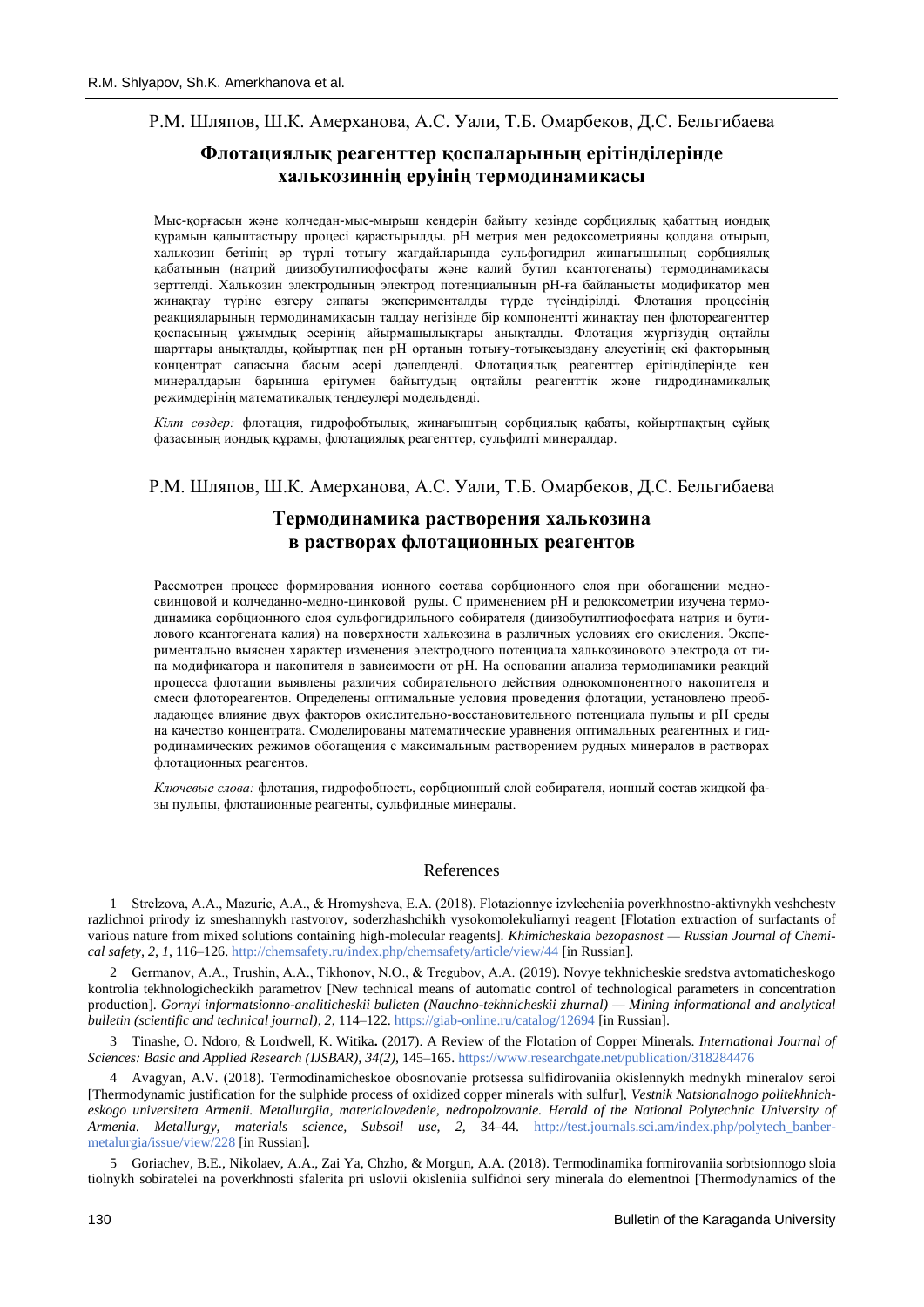# Р.М. Шляпов, Ш.К. Амерханова, А.С. Уали, Т.Б. Омарбеков, Д.С. Бельгибаева

# **Флотациялық реагенттер қоспаларының ерітінділерінде халькозиннің еруінің термодинамикасы**

Мыс-қорғасын және колчедан-мыс-мырыш кендерін байыту кезінде сорбциялық қабаттың иондық құрамын қалыптастыру процесі қарастырылды. pН метрия мен редоксометрияны қолдана отырып, халькозин бетінің әр түрлі тотығу жағдайларында сульфогидрил жинағышының сорбциялық қабатының (натрий диизобутилтиофосфаты және калий бутил ксантогенаты) термодинамикасы зерттелді. Халькозин электродының электрод потенциалының рН-ға байланысты модификатор мен жинақтау түріне өзгеру сипаты эксперименталды түрде түсіндірілді. Флотация процесінің реакцияларының термодинамикасын талдау негізінде бір компонентті жинақтау пен флотореагенттер қоспасының ұжымдық әсерінің айырмашылықтары анықталды. Флотация жүргізудің оңтайлы шарттары анықталды, қойыртпақ пен рН ортаның тотығу-тотықсыздану әлеуетінің екі факторының концентрат сапасына басым әсері дәлелденді. Флотациялық реагенттер ерітінділерінде кен минералдарын барынша ерітумен байытудың оңтайлы реагенттік және гидродинамикалық режимдерінің математикалық теңдеулері модельденді.

*Кілт сөздер:* флотация, гидрофобтылық, жинағыштың сорбциялық қабаты, қойыртпақтың сұйық фазасының иондық құрамы, флотациялық реагенттер, сульфидті минералдар.

## Р.М. Шляпов, Ш.К. Амерханова, А.С. Уали, Т.Б. Омарбеков, Д.С. Бельгибаева

# **Термодинамика растворения халькозина в растворах флотационных реагентов**

Рассмотрен процесс формирования ионного состава сорбционного слоя при обогащении медносвинцовой и колчеданно-медно-цинковой руды. С применением рН и редоксометрии изучена термодинамика сорбционного слоя сульфогидрильного собирателя (диизобутилтиофосфата натрия и бутилового ксантогената калия) на поверхности халькозина в различных условиях его окисления. Экспериментально выяснен характер изменения электродного потенциала халькозинового электрода от типа модификатора и накопителя в зависимости от рН. На основании анализа термодинамики реакций процесса флотации выявлены различия собирательного действия однокомпонентного накопителя и смеси флотореагентов. Определены оптимальные условия проведения флотации, установлено преобладающее влияние двух факторов окислительно-восстановительного потенциала пульпы и рН среды на качество концентрата. Смоделированы математические уравнения оптимальных реагентных и гидродинамических режимов обогащения с максимальным растворением рудных минералов в растворах флотационных реагентов.

*Ключевые слова:* флотация, гидрофобность, сорбционный слой собирателя, ионный состав жидкой фазы пульпы, флотационные реагенты, сульфидные минералы.

#### References

1 Strelzova, A.А., Mazuric, А.А., & Hromysheva, Е.А. (2018). Flotazionnye izvlecheniia poverkhnostno-aktivnykh veshchestv razlichnoi prirody iz smeshannykh rastvorov, soderzhashchikh vysokomolekuliarnyi reagent [Flotation extraction of surfactants of various nature from mixed solutions containing high-molecular reagents]. *Khimicheskaia bezopasnost — Russian Journal of Chemical safety, 2, 1*, 116–126[. http://chemsafety.ru/index.php/chemsafety/article/view/44](http://chemsafety.ru/index.php/chemsafety/article/view/44) [in Russian].

2 Germanov, А.А., Trushin, A.A., Tikhonov, N.O., & Tregubov, A.A. (2019). Novye tekhnicheskie sredstva avtomaticheskogo kontrolia tekhnologicheckikh parametrov [New technical means of automatic control of technological parameters in concentration production]. *Gornyi informatsionno-analiticheskii bulleten (Nauchno-tekhnicheskii zhurnal) — Mining informational and analytical bulletin (scientific and technical journal), 2*, 114–122[. https://giab-online.ru/catalog/12694](https://giab-online.ru/catalog/12694) [in Russian].

3 Tinashe, O. Ndoro, & Lordwell, K. Witika**.** (2017). A Review of the Flotation of Copper Minerals. *International Journal of Sciences: Basic and Applied Research (IJSBAR), 34(2)*, 145–165[. https://www.researchgate.net/publication/318284476](https://www.researchgate.net/publication/318284476)

4 Avagyan, A.V. (2018). Termodinamicheskoe obosnovanie protsessa sulfidirovaniia okislennykh mednykh mineralov seroi [Thermodynamic justification for the sulphide process of oxidized copper minerals with sulfur], *Vestnik Natsionalnogo politekhnicheskogo universiteta Armenii. Metallurgiia, materialovedenie, nedropolzovanie. Herald of the National Polytechnic University of Armenia. Metallurgy, materials science, Subsoil use, 2,* 34–44. [http://test.journals.sci.am/index.php/polytech\\_banber](http://test.journals.sci.am/index.php/polytech_banber-metalurgia/issue/view/228)[metalurgia/issue/view/228](http://test.journals.sci.am/index.php/polytech_banber-metalurgia/issue/view/228) [in Russian].

5 Goriachev, B.E., Nikolaev, A.A., Zai Ya, Chzho, & Morgun, A.A. (2018). Termodinamika formirovaniia sorbtsionnogo sloia tiolnykh sobiratelei na poverkhnosti sfalerita pri uslovii okisleniia sulfidnoi sery minerala do elementnoi [Thermodynamics of the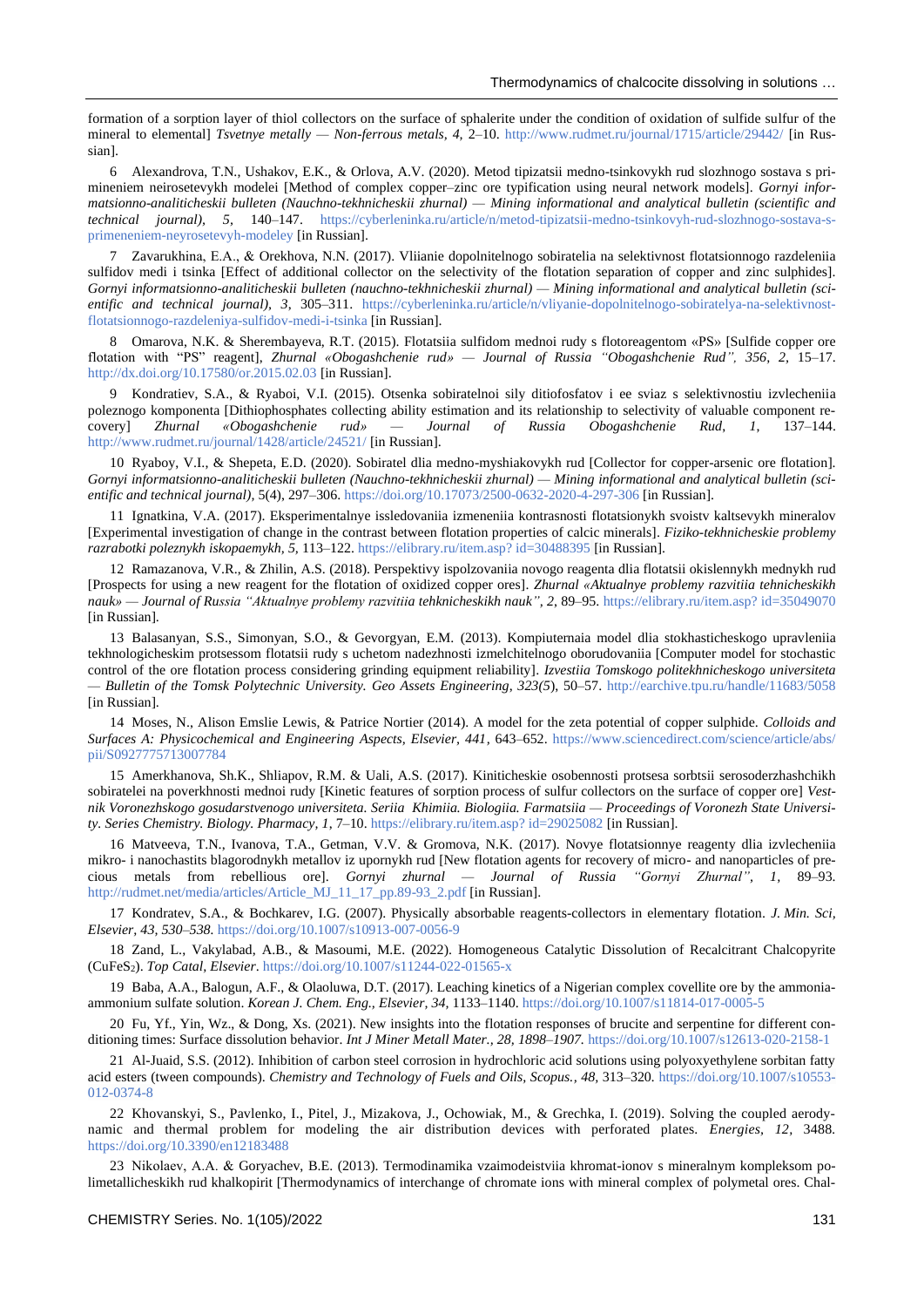formation of a sorption layer of thiol collectors on the surface of sphalerite under the condition of oxidation of sulfide sulfur of the mineral to elemental] *Tsvetnye metally — Non-ferrous metals*, 4, 2–10.<http://www.rudmet.ru/journal/1715/article/29442/> [in Russian].

6 Alexandrova, T.N., Ushakov, E.K., & Orlova, A.V. (2020). Metod tipizatsii medno-tsinkovykh rud slozhnogo sostava s primineniem neirosetevykh modelei [Method of complex copper–zinc ore typification using neural network models]. *Gornyi informatsionno-analiticheskii bulleten (Nauchno-tekhnicheskii zhurnal) — Mining informational and analytical bulletin (scientific and technical journal), 5,* 140–147. [https://cyberleninka.ru/article/n/metod-tipizatsii-medno-tsinkovyh-rud-slozhnogo-sostava-s](https://cyberleninka.ru/article/n/metod-tipizatsii-medno-tsinkovyh-rud-slozhnogo-sostava-s-primeneniem-neyrosetevyh-modeley)[primeneniem-neyrosetevyh-modeley](https://cyberleninka.ru/article/n/metod-tipizatsii-medno-tsinkovyh-rud-slozhnogo-sostava-s-primeneniem-neyrosetevyh-modeley) [in Russian].

7 Zavarukhina, Е.А., & Orekhova, N.N. (2017). Vliianie dopolnitelnogo sobiratelia na selektivnost flotatsionnogo razdeleniia sulfidov medi i tsinka [Effect of additional collector on the selectivity of the flotation separation of copper and zinc sulphides]. *Gornyi informatsionno-analiticheskii bulleten (nauchno-tekhnicheskii zhurnal) — Mining informational and analytical bulletin (scientific and technical journal), 3*, 305–311. [https://cyberleninka.ru/article/n/vliyanie-dopolnitelnogo-sobiratelya-na-selektivnost](https://cyberleninka.ru/article/n/vliyanie-dopolnitelnogo-sobiratelya-na-selektivnost-flotatsionnogo-razdeleniya-sulfidov-medi-i-tsinka)[flotatsionnogo-razdeleniya-sulfidov-medi-i-tsinka](https://cyberleninka.ru/article/n/vliyanie-dopolnitelnogo-sobiratelya-na-selektivnost-flotatsionnogo-razdeleniya-sulfidov-medi-i-tsinka) [in Russian].

8 Omarova, N.K. & Sherembayeva, R.T. (2015). Flotatsiia sulfidom mednoi rudy s flotoreagentom «PS» [Sulfide copper ore flotation with "РS" reagent], *Zhurnal «Obogashchenie rud» — Journal of Russia "Obogashchenie Rud", 356, 2,* 15–17. <http://dx.doi.org/10.17580/or.2015.02.03> [in Russian].

9 Kondratiev, S.A., & Ryaboi, V.I. (2015). Otsenka sobiratelnoi sily ditiofosfatov i ee sviaz s selektivnostiu izvlecheniia poleznogo komponenta [Dithiophosphates collecting ability estimation and its relationship to selectivity of valuable component recovery] *Zhurnal «Obogashchenie rud» — Journal of Russia Obogashchenie Rud*, *1*, 137–144. <http://www.rudmet.ru/journal/1428/article/24521/> [in Russian].

10 Ryaboy, V.I., & Shepeta, E.D. (2020). Sobiratel dlia medno-myshiakovykh rud [Collector for copper-arsenic ore flotation]. *Gornyi informatsionno-analiticheskii bulleten (Nauchno-tekhnicheskii zhurnal) — Mining informational and analytical bulletin (scientific and technical journal),* 5(4), 297–306.<https://doi.org/10.17073/2500-0632-2020-4-297-306> [in Russian].

11 Ignatkina, V.A. (2017). Eksperimentalnye issledovaniia izmeneniia kontrasnosti flotatsionykh svoistv kaltsevykh mineralov [Experimental investigation of change in the contrast between flotation properties of calcic minerals]. *Fiziko-tekhnicheskie problemy razrabotki poleznykh iskopaemykh, 5,* 113–122. [https://elibrary.ru/item.asp? id=30488395](https://elibrary.ru/item.asp?%20id=30488395) [in Russian].

12 Ramazanova, V.R., & Zhilin, A.S. (2018). Perspektivy ispolzovaniia novogo reagenta dlia flotatsii okislennykh mednykh rud [Prospects for using a new reagent for the flotation of oxidized copper ores]. *Zhurnal «Aktualnye problemy razvitiia tehnicheskikh nauk» — Journal of Russia "Aktualnye problemy razvitiia tehknicheskikh nauk", 2*, 89–95[. https://elibrary.ru/item.asp? id=35049070](https://elibrary.ru/item.asp?id=35049070) [in Russian].

13 Balasanyan, S.S., Simonyan, S.O., & Gevorgyan, E.M. (2013). Kompiuternaia model dlia stokhasticheskogo upravleniia tekhnologicheskim protsessom flotatsii rudy s uchetom nadezhnosti izmelchitelnogo oborudovaniia [Computer model for stochastic control of the ore flotation process considering grinding equipment reliability]. *Izvestiia Tomskogo politekhnicheskogo universiteta — Bulletin of the Tomsk Polytechnic University. Geo Assets Engineering*, *323(5*), 50–57.<http://earchive.tpu.ru/handle/11683/5058> [in Russian].

14 Moses, N., Alison Emslie Lewis, & Patrice Nortier (2014). A model for the zeta potential of copper sulphide. *Colloids and Surfaces A: Physicochemical and Engineering Aspects, Elsevier, 441,* 643–652. [https://www.sciencedirect.com/science/article/abs/](https://www.sciencedirect.com/science/article/abs/pii/S0927775713007784) [pii/S0927775713007784](https://www.sciencedirect.com/science/article/abs/pii/S0927775713007784)

15 Amerkhanova, Sh.K., Shliapov, R.M. & Uali, A.S. (2017). Kiniticheskie osobennosti protsesa sorbtsii serosoderzhashchikh sobiratelei na poverkhnosti mednoi rudy [Kinetic features of sorption process of sulfur collectors on the surface of copper ore] *Vestnik Voronezhskogo gosudarstvenogo universiteta. Seriia Khimiia. Biologiia. Farmatsiia — Proceedings of Voronezh State University. Series Chemistry. Biology. Pharmacy, 1*, 7–10. [https://elibrary.ru/item.asp? id=29025082](https://elibrary.ru/item.asp?%20id=29025082) [in Russian].

16 Matveeva, T.N., Ivanova, T.A., Getman, V.V. & Gromova, N.K. (2017). Novye flotatsionnye reagenty dlia izvlecheniia mikro- i nanochastits blagorodnykh metallov iz upornykh rud [New flotation agents for recovery of micro- and nanoparticles of precious metals from rebellious ore]. *Gornyi zhurnal — Journal of Russia "Gornyi Zhurnal", 1,* 89–93. [http://rudmet.net/media/articles/Article\\_MJ\\_11\\_17\\_pp.89-93\\_2.pdf](http://rudmet.net/media/articles/Article_MJ_11_17_pp.89-93_2.pdf) [in Russian].

17 Kondratev, S.A., & Bochkarev, I.G. (2007). Physically absorbable reagents-collectors in elementary flotation. *J. Min. Sci, Elsevier, 43, 530–538.* <https://doi.org/10.1007/s10913-007-0056-9>

18 Zand, L., Vakylabad, A.B., & Masoumi, M.E. (2022). Homogeneous Catalytic Dissolution of Recalcitrant Chalcopyrite (CuFeS2). *Top Catal, Elsevier*[. https://doi.org/10.1007/s11244-022-01565-x](https://doi.org/10.1007/s11244-022-01565-x)

19 Baba, A.A., Balogun, A.F., & Olaoluwa, D.T. (2017). Leaching kinetics of a Nigerian complex covellite ore by the ammoniaammonium sulfate solution. *Korean J. Chem. Eng., Elsevier, 34,* 1133–1140. <https://doi.org/10.1007/s11814-017-0005-5>

20 Fu, Yf., Yin, Wz., & Dong, Xs. (2021). New insights into the flotation responses of brucite and serpentine for different conditioning times: Surface dissolution behavior. *Int J Miner Metall Mater., 28, 1898–1907.* <https://doi.org/10.1007/s12613-020-2158-1>

21 Al-Juaid, S.S. (2012). Inhibition of carbon steel corrosion in hydrochloric acid solutions using polyoxyethylene sorbitan fatty acid esters (tween compounds). *Chemistry and Technology of Fuels and Oils, Scopus., 48,* 313–320*.* [https://doi.org/10.1007/s10553-](https://doi.org/10.1007/s10553-012-0374-8) [012-0374-8](https://doi.org/10.1007/s10553-012-0374-8)

22 Khovanskyi, S., Pavlenko, I., Pitel, J., Mizakova, J., Ochowiak, M., & Grechka, I. (2019). Solving the coupled aerodynamic and thermal problem for modeling the air distribution devices with perforated plates. *Energies, 12,* 3488*.* <https://doi.org/10.3390/en12183488>

23 Nikolaev, А.А. & Goryachev, B.E. (2013). Termodinamika vzaimodeistviia khromat-ionov s mineralnym kompleksom polimetallicheskikh rud khalkopirit [Thermodynamics of interchange of chromate ions with mineral complex of polymetal ores. Chal